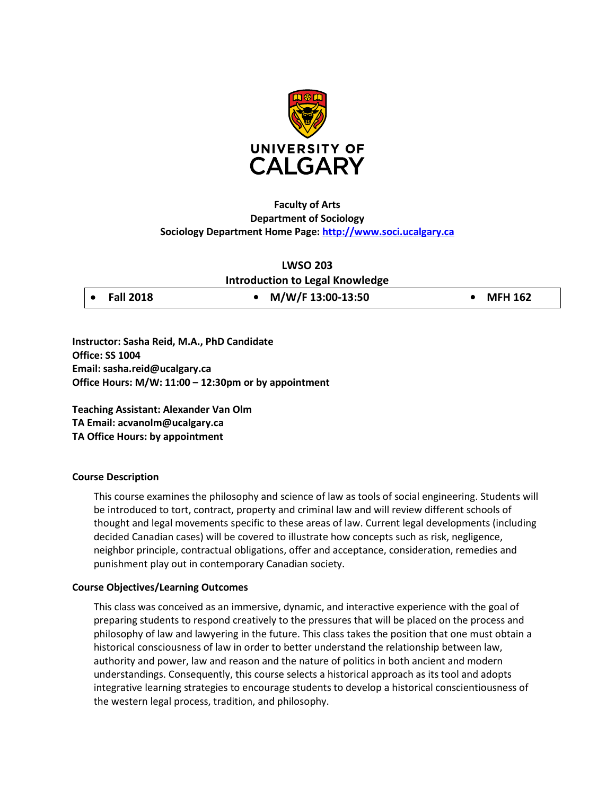

# **Faculty of Arts Department of Sociology Sociology Department Home Page: [http://www.soci.ucalgary.ca](http://www.soci.ucalgary.ca/)**

### **LWSO 203**

**Introduction to Legal Knowledge**

• **Fall 2018 • M/W/F 13:00-13:50 • MFH 162**

**Instructor: Sasha Reid, M.A., PhD Candidate Office: SS 1004 Email: sasha.reid@ucalgary.ca Office Hours: M/W: 11:00 – 12:30pm or by appointment**

**Teaching Assistant: Alexander Van Olm TA Email: acvanolm@ucalgary.ca TA Office Hours: by appointment**

### **Course Description**

This course examines the philosophy and science of law as tools of social engineering. Students will be introduced to tort, contract, property and criminal law and will review different schools of thought and legal movements specific to these areas of law. Current legal developments (including decided Canadian cases) will be covered to illustrate how concepts such as risk, negligence, neighbor principle, contractual obligations, offer and acceptance, consideration, remedies and punishment play out in contemporary Canadian society.

### **Course Objectives/Learning Outcomes**

This class was conceived as an immersive, dynamic, and interactive experience with the goal of preparing students to respond creatively to the pressures that will be placed on the process and philosophy of law and lawyering in the future. This class takes the position that one must obtain a historical consciousness of law in order to better understand the relationship between law, authority and power, law and reason and the nature of politics in both ancient and modern understandings. Consequently, this course selects a historical approach as its tool and adopts integrative learning strategies to encourage students to develop a historical conscientiousness of the western legal process, tradition, and philosophy.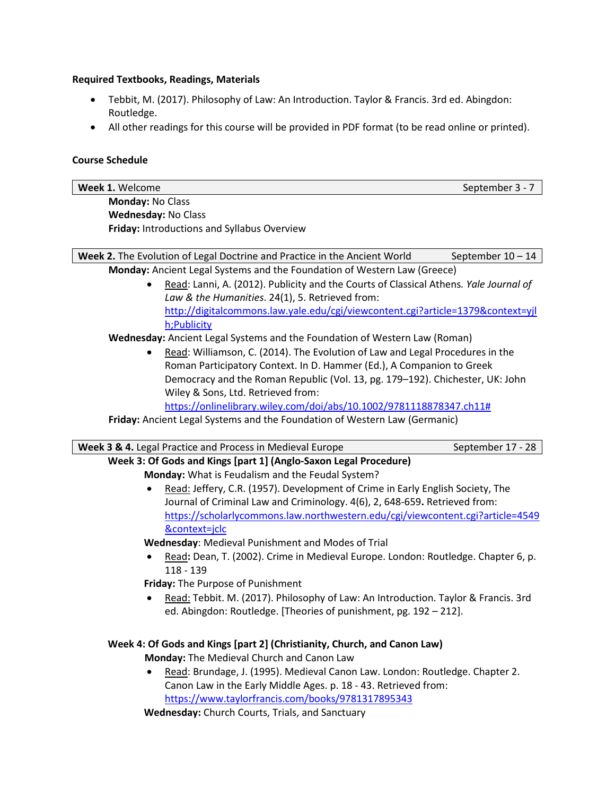### **Required Textbooks, Readings, Materials**

- Tebbit, M. (2017). Philosophy of Law: An Introduction. Taylor & Francis. 3rd ed. Abingdon: Routledge.
- All other readings for this course will be provided in PDF format (to be read online or printed).

## **Course Schedule**

| Week 1. Welcome                                                           | September 3 - 7   |
|---------------------------------------------------------------------------|-------------------|
| <b>Monday: No Class</b>                                                   |                   |
| <b>Wednesday: No Class</b>                                                |                   |
| <b>Friday: Introductions and Syllabus Overview</b>                        |                   |
|                                                                           |                   |
| Week 2. The Evolution of Legal Doctrine and Practice in the Ancient World | September 10 - 14 |

**Monday:** Ancient Legal Systems and the Foundation of Western Law (Greece)

• Read: Lanni, A. (2012). Publicity and the Courts of Classical Athens*. Yale Journal of Law & the Humanities*. 24(1), 5. Retrieved from: [http://digitalcommons.law.yale.edu/cgi/viewcontent.cgi?article=1379&context=yjl](http://digitalcommons.law.yale.edu/cgi/viewcontent.cgi?article=1379&context=yjlh;Publicity) [h;Publicity](http://digitalcommons.law.yale.edu/cgi/viewcontent.cgi?article=1379&context=yjlh;Publicity)

**Wednesday:** Ancient Legal Systems and the Foundation of Western Law (Roman)

• Read: Williamson, C. (2014). The Evolution of Law and Legal Procedures in the Roman Participatory Context. In D. Hammer (Ed.), A Companion to Greek Democracy and the Roman Republic (Vol. 13, pg. 179–192). Chichester, UK: John Wiley & Sons, Ltd. Retrieved from:

[https://onlinelibrary.wiley.com/doi/abs/10.1002/9781118878347.ch11#](https://onlinelibrary.wiley.com/doi/abs/10.1002/9781118878347.ch11)

**Friday:** Ancient Legal Systems and the Foundation of Western Law (Germanic)

| <b>Week 3 &amp; 4.</b> Legal Practice and Process in Medieval Europe | September 17 - 28 |
|----------------------------------------------------------------------|-------------------|
|                                                                      |                   |

**Week 3: Of Gods and Kings [part 1] (Anglo-Saxon Legal Procedure) Monday:** What is Feudalism and the Feudal System?

> • Read: Jeffery, C.R. (1957). Development of Crime in Early English Society, The Journal of Criminal Law and Criminology. 4(6), 2, 648-659**.** Retrieved from: [https://scholarlycommons.law.northwestern.edu/cgi/viewcontent.cgi?article=4549](https://scholarlycommons.law.northwestern.edu/cgi/viewcontent.cgi?article=4549&context=jclc) [&context=jclc](https://scholarlycommons.law.northwestern.edu/cgi/viewcontent.cgi?article=4549&context=jclc)

**Wednesday**: Medieval Punishment and Modes of Trial

• Read**:** Dean, T. (2002). Crime in Medieval Europe. London: Routledge. Chapter 6, p. 118 - 139

**Friday:** The Purpose of Punishment

• Read: Tebbit. M. (2017). Philosophy of Law: An Introduction. Taylor & Francis. 3rd ed. Abingdon: Routledge. [Theories of punishment, pg. 192 – 212].

# **Week 4: Of Gods and Kings [part 2] (Christianity, Church, and Canon Law)**

**Monday:** The Medieval Church and Canon Law

• Read: Brundage, J. (1995). Medieval Canon Law. London: Routledge. Chapter 2. Canon Law in the Early Middle Ages. p. 18 - 43. Retrieved from: <https://www.taylorfrancis.com/books/9781317895343>

**Wednesday:** Church Courts, Trials, and Sanctuary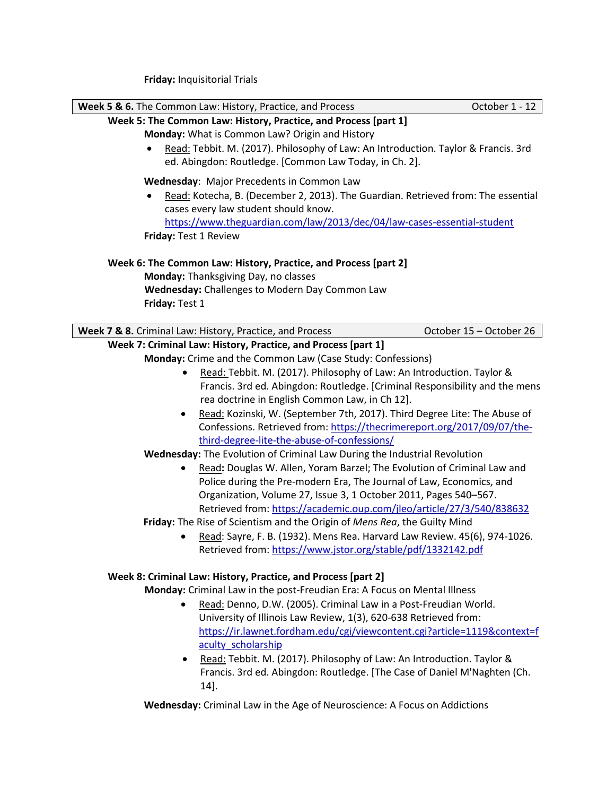**Friday:** Inquisitorial Trials

| Week 5 & 6. The Common Law: History, Practice, and Process<br>October 1 - 12                                                                                                                                                                                                                                                                                                                                                                                                                                                                                  |
|---------------------------------------------------------------------------------------------------------------------------------------------------------------------------------------------------------------------------------------------------------------------------------------------------------------------------------------------------------------------------------------------------------------------------------------------------------------------------------------------------------------------------------------------------------------|
| Week 5: The Common Law: History, Practice, and Process [part 1]                                                                                                                                                                                                                                                                                                                                                                                                                                                                                               |
| Monday: What is Common Law? Origin and History<br>Read: Tebbit. M. (2017). Philosophy of Law: An Introduction. Taylor & Francis. 3rd<br>ed. Abingdon: Routledge. [Common Law Today, in Ch. 2].                                                                                                                                                                                                                                                                                                                                                                |
| Wednesday: Major Precedents in Common Law<br>Read: Kotecha, B. (December 2, 2013). The Guardian. Retrieved from: The essential<br>cases every law student should know.<br>https://www.theguardian.com/law/2013/dec/04/law-cases-essential-student                                                                                                                                                                                                                                                                                                             |
| Friday: Test 1 Review                                                                                                                                                                                                                                                                                                                                                                                                                                                                                                                                         |
| Week 6: The Common Law: History, Practice, and Process [part 2]<br>Monday: Thanksgiving Day, no classes<br>Wednesday: Challenges to Modern Day Common Law<br>Friday: Test 1                                                                                                                                                                                                                                                                                                                                                                                   |
| Week 7 & 8. Criminal Law: History, Practice, and Process<br>October 15 - October 26                                                                                                                                                                                                                                                                                                                                                                                                                                                                           |
| Week 7: Criminal Law: History, Practice, and Process [part 1]<br>Monday: Crime and the Common Law (Case Study: Confessions)<br>Read: Tebbit. M. (2017). Philosophy of Law: An Introduction. Taylor &<br>Francis. 3rd ed. Abingdon: Routledge. [Criminal Responsibility and the mens                                                                                                                                                                                                                                                                           |
| rea doctrine in English Common Law, in Ch 12].<br>Read: Kozinski, W. (September 7th, 2017). Third Degree Lite: The Abuse of<br>٠<br>Confessions. Retrieved from: https://thecrimereport.org/2017/09/07/the-<br>third-degree-lite-the-abuse-of-confessions/                                                                                                                                                                                                                                                                                                    |
| Wednesday: The Evolution of Criminal Law During the Industrial Revolution                                                                                                                                                                                                                                                                                                                                                                                                                                                                                     |
| Read: Douglas W. Allen, Yoram Barzel; The Evolution of Criminal Law and<br>Police during the Pre-modern Era, The Journal of Law, Economics, and<br>Organization, Volume 27, Issue 3, 1 October 2011, Pages 540-567.<br>Retrieved from: https://academic.oup.com/jleo/article/27/3/540/838632<br>Friday: The Rise of Scientism and the Origin of Mens Rea, the Guilty Mind<br>Read: Sayre, F. B. (1932). Mens Rea. Harvard Law Review. 45(6), 974-1026.<br>Retrieved from: https://www.jstor.org/stable/pdf/1332142.pdf                                        |
| Week 8: Criminal Law: History, Practice, and Process [part 2]<br>Monday: Criminal Law in the post-Freudian Era: A Focus on Mental Illness<br>Read: Denno, D.W. (2005). Criminal Law in a Post-Freudian World.<br>University of Illinois Law Review, 1(3), 620-638 Retrieved from:<br>https://ir.lawnet.fordham.edu/cgi/viewcontent.cgi?article=1119&context=f<br>aculty scholarship<br>Read: Tebbit. M. (2017). Philosophy of Law: An Introduction. Taylor &<br>$\bullet$<br>Francis. 3rd ed. Abingdon: Routledge. [The Case of Daniel M'Naghten (Ch.<br>14]. |

**Wednesday:** Criminal Law in the Age of Neuroscience: A Focus on Addictions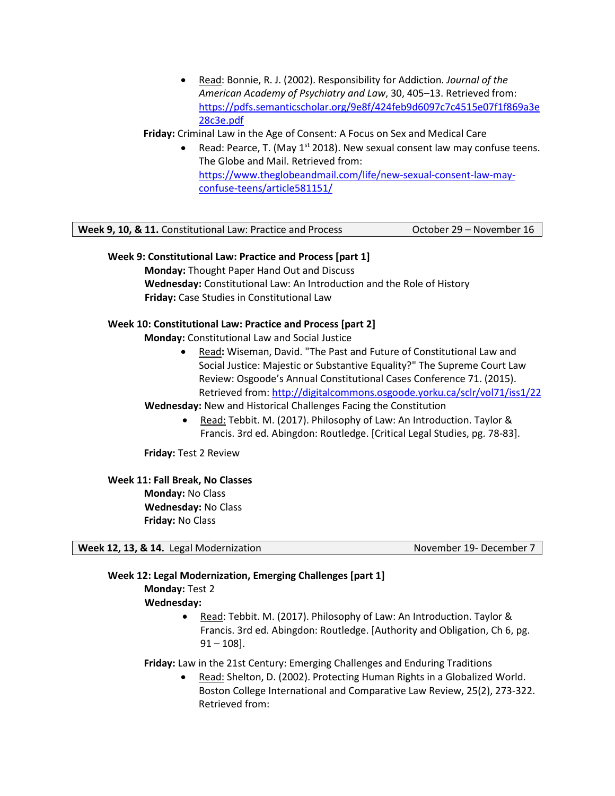• Read: Bonnie, R. J. (2002). Responsibility for Addiction. *Journal of the American Academy of Psychiatry and Law*, 30, 405–13. Retrieved from: [https://pdfs.semanticscholar.org/9e8f/424feb9d6097c7c4515e07f1f869a3e](https://pdfs.semanticscholar.org/9e8f/424feb9d6097c7c4515e07f1f869a3e28c3e.pdf) [28c3e.pdf](https://pdfs.semanticscholar.org/9e8f/424feb9d6097c7c4515e07f1f869a3e28c3e.pdf)

## **Friday:** Criminal Law in the Age of Consent: A Focus on Sex and Medical Care

Read: Pearce, T. (May  $1<sup>st</sup>$  2018). New sexual consent law may confuse teens. The Globe and Mail. Retrieved from: [https://www.theglobeandmail.com/life/new-sexual-consent-law-may](https://www.theglobeandmail.com/life/new-sexual-consent-law-may-confuse-teens/article581151/)[confuse-teens/article581151/](https://www.theglobeandmail.com/life/new-sexual-consent-law-may-confuse-teens/article581151/)

| <b>Week 9, 10, &amp; 11.</b> Constitutional Law: Practice and Process | October 29 – November 16 |
|-----------------------------------------------------------------------|--------------------------|
|-----------------------------------------------------------------------|--------------------------|

## **Week 9: Constitutional Law: Practice and Process [part 1]**

**Monday:** Thought Paper Hand Out and Discuss **Wednesday:** Constitutional Law: An Introduction and the Role of History **Friday:** Case Studies in Constitutional Law

## **Week 10: Constitutional Law: Practice and Process [part 2]**

**Monday:** Constitutional Law and Social Justice

• Read**:** Wiseman, David. "The Past and Future of Constitutional Law and Social Justice: Majestic or Substantive Equality?" The Supreme Court Law Review: Osgoode's Annual Constitutional Cases Conference 71. (2015). Retrieved from:<http://digitalcommons.osgoode.yorku.ca/sclr/vol71/iss1/22>

**Wednesday:** New and Historical Challenges Facing the Constitution

• Read: Tebbit. M. (2017). Philosophy of Law: An Introduction. Taylor & Francis. 3rd ed. Abingdon: Routledge. [Critical Legal Studies, pg. 78-83].

**Friday:** Test 2 Review

**Week 11: Fall Break, No Classes**

**Monday:** No Class **Wednesday:** No Class **Friday:** No Class

**Week 12, 13, & 14.** Legal Modernization November 19- December 7

## **Week 12: Legal Modernization, Emerging Challenges [part 1]**

**Monday:** Test 2 **Wednesday:** 

> • Read: Tebbit. M. (2017). Philosophy of Law: An Introduction. Taylor & Francis. 3rd ed. Abingdon: Routledge. [Authority and Obligation, Ch 6, pg.  $91 - 108$ ].

**Friday:** Law in the 21st Century: Emerging Challenges and Enduring Traditions

• Read: Shelton, D. (2002). Protecting Human Rights in a Globalized World. Boston College International and Comparative Law Review, 25(2), 273-322. Retrieved from: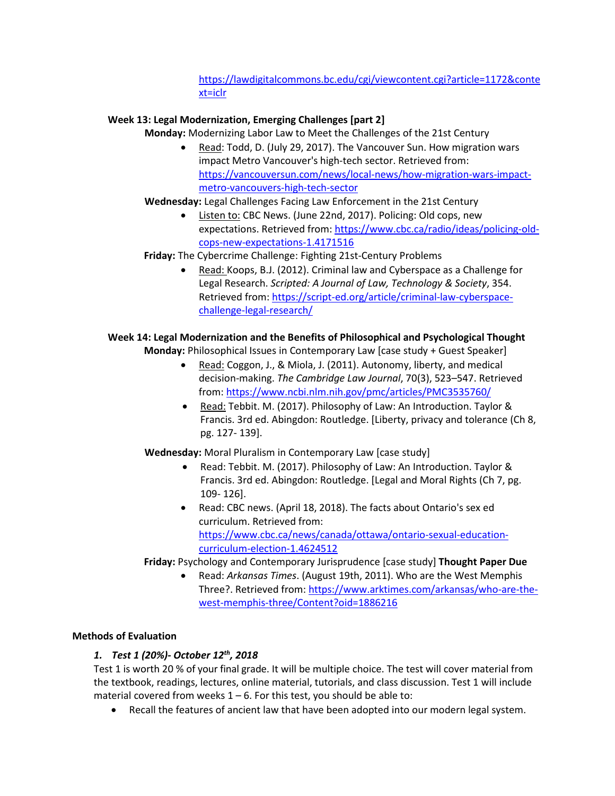# https://lawdigitalcommons.bc.edu/cgi/viewcontent.cgi?article=1172&conte xt=iclr

# **Week 13: Legal Modernization, Emerging Challenges [part 2]**

**Monday:** Modernizing Labor Law to Meet the Challenges of the 21st Century

• Read: Todd, D. (July 29, 2017). The Vancouver Sun. How migration wars impact Metro Vancouver's high-tech sector. Retrieved from: [https://vancouversun.com/news/local-news/how-migration-wars-impact](https://vancouversun.com/news/local-news/how-migration-wars-impact-metro-vancouvers-high-tech-sector)[metro-vancouvers-high-tech-sector](https://vancouversun.com/news/local-news/how-migration-wars-impact-metro-vancouvers-high-tech-sector)

## **Wednesday:** Legal Challenges Facing Law Enforcement in the 21st Century

• Listen to: CBC News. (June 22nd, 2017). Policing: Old cops, new expectations. Retrieved from: [https://www.cbc.ca/radio/ideas/policing-old](https://www.cbc.ca/radio/ideas/policing-old-cops-new-expectations-1.4171516)[cops-new-expectations-1.4171516](https://www.cbc.ca/radio/ideas/policing-old-cops-new-expectations-1.4171516)

## **Friday:** The Cybercrime Challenge: Fighting 21st-Century Problems

• Read: Koops, B.J. (2012). Criminal law and Cyberspace as a Challenge for Legal Research. *Scripted: A Journal of Law, Technology & Society*, 354. Retrieved from: [https://script-ed.org/article/criminal-law-cyberspace](https://script-ed.org/article/criminal-law-cyberspace-challenge-legal-research/)[challenge-legal-research/](https://script-ed.org/article/criminal-law-cyberspace-challenge-legal-research/)

## **Week 14: Legal Modernization and the Benefits of Philosophical and Psychological Thought**

**Monday:** Philosophical Issues in Contemporary Law [case study + Guest Speaker]

- Read: Coggon, J., & Miola, J. (2011). Autonomy, liberty, and medical decision-making. *The Cambridge Law Journal*, 70(3), 523–547. Retrieved from:<https://www.ncbi.nlm.nih.gov/pmc/articles/PMC3535760/>
- Read: Tebbit. M. (2017). Philosophy of Law: An Introduction. Taylor & Francis. 3rd ed. Abingdon: Routledge. [Liberty, privacy and tolerance (Ch 8, pg. 127- 139].

**Wednesday:** Moral Pluralism in Contemporary Law [case study]

- Read: Tebbit. M. (2017). Philosophy of Law: An Introduction. Taylor & Francis. 3rd ed. Abingdon: Routledge. [Legal and Moral Rights (Ch 7, pg. 109- 126].
- Read: CBC news. (April 18, 2018). The facts about Ontario's sex ed curriculum. Retrieved from: [https://www.cbc.ca/news/canada/ottawa/ontario-sexual-education](https://www.cbc.ca/news/canada/ottawa/ontario-sexual-education-curriculum-election-1.4624512)[curriculum-election-1.4624512](https://www.cbc.ca/news/canada/ottawa/ontario-sexual-education-curriculum-election-1.4624512)

**Friday:** Psychology and Contemporary Jurisprudence [case study] **Thought Paper Due**

• Read: *Arkansas Times*. (August 19th, 2011). Who are the West Memphis Three?. Retrieved from: [https://www.arktimes.com/arkansas/who-are-the](https://www.arktimes.com/arkansas/who-are-the-west-memphis-three/Content?oid=1886216)[west-memphis-three/Content?oid=1886216](https://www.arktimes.com/arkansas/who-are-the-west-memphis-three/Content?oid=1886216)

## **Methods of Evaluation**

# *1. Test 1 (20%)- October 12th, 2018*

Test 1 is worth 20 % of your final grade. It will be multiple choice. The test will cover material from the textbook, readings, lectures, online material, tutorials, and class discussion. Test 1 will include material covered from weeks  $1 - 6$ . For this test, you should be able to:

• Recall the features of ancient law that have been adopted into our modern legal system.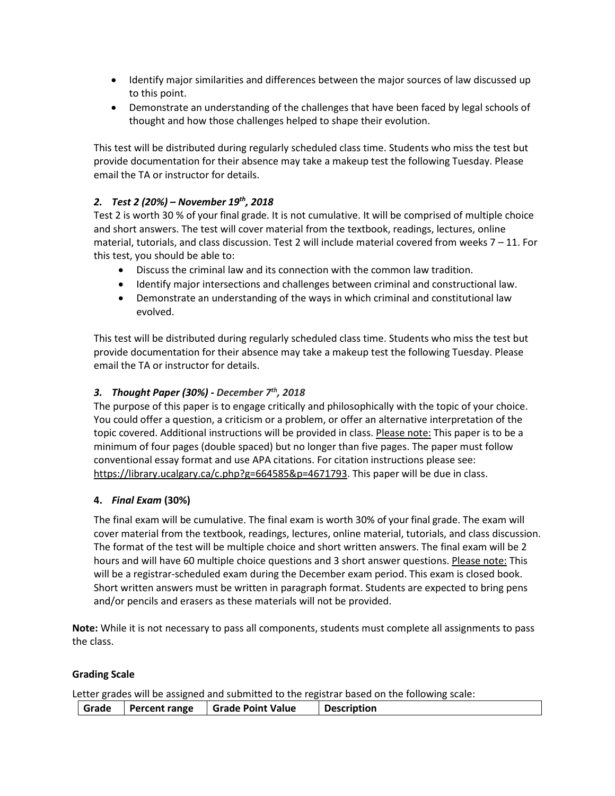- Identify major similarities and differences between the major sources of law discussed up to this point.
- Demonstrate an understanding of the challenges that have been faced by legal schools of thought and how those challenges helped to shape their evolution.

This test will be distributed during regularly scheduled class time. Students who miss the test but provide documentation for their absence may take a makeup test the following Tuesday. Please email the TA or instructor for details.

# *2. Test 2 (20%) – November 19th, 2018*

Test 2 is worth 30 % of your final grade. It is not cumulative. It will be comprised of multiple choice and short answers. The test will cover material from the textbook, readings, lectures, online material, tutorials, and class discussion. Test 2 will include material covered from weeks 7 – 11. For this test, you should be able to:

- Discuss the criminal law and its connection with the common law tradition.
- Identify major intersections and challenges between criminal and constructional law.
- Demonstrate an understanding of the ways in which criminal and constitutional law evolved.

This test will be distributed during regularly scheduled class time. Students who miss the test but provide documentation for their absence may take a makeup test the following Tuesday. Please email the TA or instructor for details.

## *3. Thought Paper (30%) - December 7th, 2018*

The purpose of this paper is to engage critically and philosophically with the topic of your choice. You could offer a question, a criticism or a problem, or offer an alternative interpretation of the topic covered. Additional instructions will be provided in class. Please note: This paper is to be a minimum of four pages (double spaced) but no longer than five pages. The paper must follow conventional essay format and use APA citations. For citation instructions please see: [https://library.ucalgary.ca/c.php?g=664585&p=4671793.](https://library.ucalgary.ca/c.php?g=664585&p=4671793) This paper will be due in class.

## **4.** *Final Exam* **(30%)**

The final exam will be cumulative. The final exam is worth 30% of your final grade. The exam will cover material from the textbook, readings, lectures, online material, tutorials, and class discussion. The format of the test will be multiple choice and short written answers. The final exam will be 2 hours and will have 60 multiple choice questions and 3 short answer questions. Please note: This will be a registrar-scheduled exam during the December exam period. This exam is closed book. Short written answers must be written in paragraph format. Students are expected to bring pens and/or pencils and erasers as these materials will not be provided.

**Note:** While it is not necessary to pass all components, students must complete all assignments to pass the class.

## **Grading Scale**

Letter grades will be assigned and submitted to the registrar based on the following scale:

| Grade | Percent range   Grade Point Value | Description |
|-------|-----------------------------------|-------------|
|       |                                   |             |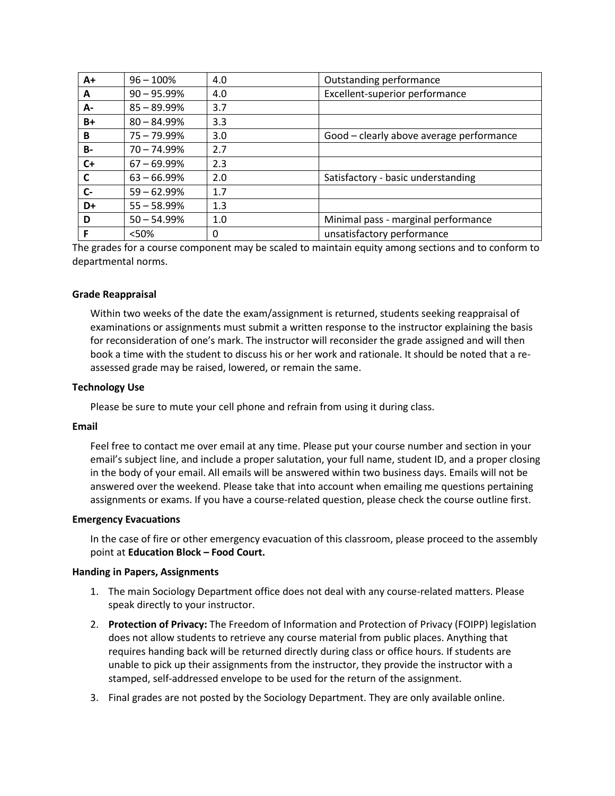| $A+$      | $96 - 100%$    | 4.0 | Outstanding performance                  |
|-----------|----------------|-----|------------------------------------------|
| A         | $90 - 95.99\%$ | 4.0 | Excellent-superior performance           |
| А-        | $85 - 89.99\%$ | 3.7 |                                          |
| $B+$      | $80 - 84.99%$  | 3.3 |                                          |
| B         | $75 - 79.99\%$ | 3.0 | Good - clearly above average performance |
| <b>B-</b> | $70 - 74.99%$  | 2.7 |                                          |
| C+        | $67 - 69.99\%$ | 2.3 |                                          |
| C         | $63 - 66.99%$  | 2.0 | Satisfactory - basic understanding       |
| $C -$     | $59 - 62.99%$  | 1.7 |                                          |
| D+        | $55 - 58.99%$  | 1.3 |                                          |
| D         | $50 - 54.99%$  | 1.0 | Minimal pass - marginal performance      |
|           | <50%           | 0   | unsatisfactory performance               |

The grades for a course component may be scaled to maintain equity among sections and to conform to departmental norms.

### **Grade Reappraisal**

Within two weeks of the date the exam/assignment is returned, students seeking reappraisal of examinations or assignments must submit a written response to the instructor explaining the basis for reconsideration of one's mark. The instructor will reconsider the grade assigned and will then book a time with the student to discuss his or her work and rationale. It should be noted that a reassessed grade may be raised, lowered, or remain the same.

### **Technology Use**

Please be sure to mute your cell phone and refrain from using it during class.

#### **Email**

Feel free to contact me over email at any time. Please put your course number and section in your email's subject line, and include a proper salutation, your full name, student ID, and a proper closing in the body of your email. All emails will be answered within two business days. Emails will not be answered over the weekend. Please take that into account when emailing me questions pertaining assignments or exams. If you have a course-related question, please check the course outline first.

#### **Emergency Evacuations**

In the case of fire or other emergency evacuation of this classroom, please proceed to the assembly point at **Education Block – Food Court.**

#### **Handing in Papers, Assignments**

- 1. The main Sociology Department office does not deal with any course-related matters. Please speak directly to your instructor.
- 2. **Protection of Privacy:** The Freedom of Information and Protection of Privacy (FOIPP) legislation does not allow students to retrieve any course material from public places. Anything that requires handing back will be returned directly during class or office hours. If students are unable to pick up their assignments from the instructor, they provide the instructor with a stamped, self-addressed envelope to be used for the return of the assignment.
- 3. Final grades are not posted by the Sociology Department. They are only available online.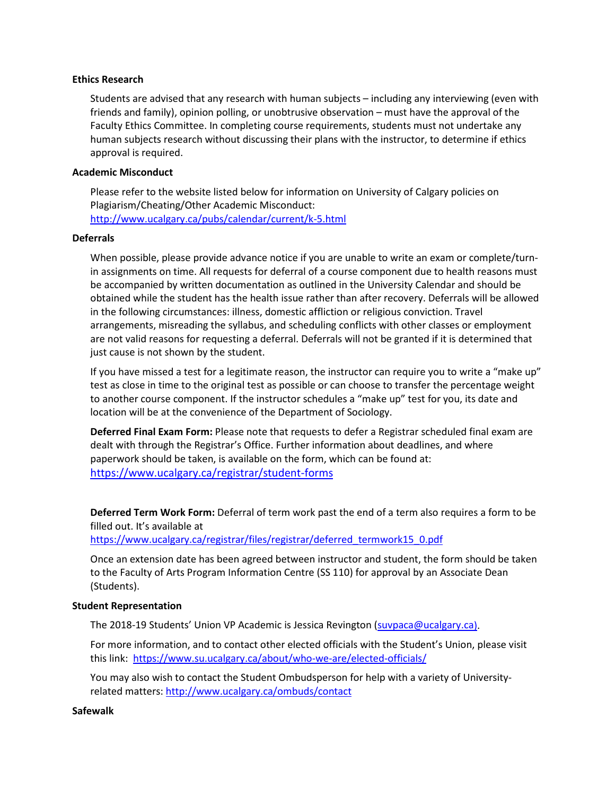### **Ethics Research**

Students are advised that any research with human subjects – including any interviewing (even with friends and family), opinion polling, or unobtrusive observation – must have the approval of the Faculty Ethics Committee. In completing course requirements, students must not undertake any human subjects research without discussing their plans with the instructor, to determine if ethics approval is required.

### **Academic Misconduct**

Please refer to the website listed below for information on University of Calgary policies on Plagiarism/Cheating/Other Academic Misconduct: <http://www.ucalgary.ca/pubs/calendar/current/k-5.html>

#### **Deferrals**

When possible, please provide advance notice if you are unable to write an exam or complete/turnin assignments on time. All requests for deferral of a course component due to health reasons must be accompanied by written documentation as outlined in the University Calendar and should be obtained while the student has the health issue rather than after recovery. Deferrals will be allowed in the following circumstances: illness, domestic affliction or religious conviction. Travel arrangements, misreading the syllabus, and scheduling conflicts with other classes or employment are not valid reasons for requesting a deferral. Deferrals will not be granted if it is determined that just cause is not shown by the student.

If you have missed a test for a legitimate reason, the instructor can require you to write a "make up" test as close in time to the original test as possible or can choose to transfer the percentage weight to another course component. If the instructor schedules a "make up" test for you, its date and location will be at the convenience of the Department of Sociology.

**Deferred Final Exam Form:** Please note that requests to defer a Registrar scheduled final exam are dealt with through the Registrar's Office. Further information about deadlines, and where paperwork should be taken, is available on the form, which can be found at: <https://www.ucalgary.ca/registrar/student-forms>

**Deferred Term Work Form:** Deferral of term work past the end of a term also requires a form to be filled out. It's available at

https://www.ucalgary.ca/registrar/files/registrar/deferred\_termwork15\_0.pdf

Once an extension date has been agreed between instructor and student, the form should be taken to the Faculty of Arts Program Information Centre (SS 110) for approval by an Associate Dean (Students).

### **Student Representation**

The 2018-19 Students' Union VP Academic is Jessica Revington [\(suvpaca@ucalgary.ca\)](mailto:suvpaca@ucalgary.ca).

For more information, and to contact other elected officials with the Student's Union, please visit this link:<https://www.su.ucalgary.ca/about/who-we-are/elected-officials/>

You may also wish to contact the Student Ombudsperson for help with a variety of Universityrelated matters:<http://www.ucalgary.ca/ombuds/contact>

**Safewalk**